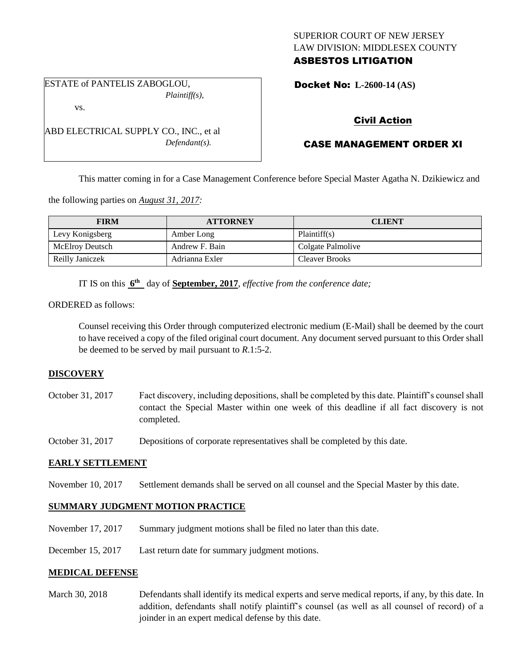## SUPERIOR COURT OF NEW JERSEY LAW DIVISION: MIDDLESEX COUNTY ASBESTOS LITIGATION

ESTATE of PANTELIS ZABOGLOU, *Plaintiff(s),*

ABD ELECTRICAL SUPPLY CO., INC., et al

*Defendant(s).*

vs.

Docket No: **L-2600-14 (AS)** 

## Civil Action

# CASE MANAGEMENT ORDER XI

This matter coming in for a Case Management Conference before Special Master Agatha N. Dzikiewicz and

the following parties on *August 31, 2017:*

| <b>FIRM</b>     | <b>ATTORNEY</b> | <b>CLIENT</b>         |
|-----------------|-----------------|-----------------------|
| Levy Konigsberg | Amber Long      | Plaintiff(s)          |
| McElroy Deutsch | Andrew F. Bain  | Colgate Palmolive     |
| Reilly Janiczek | Adrianna Exler  | <b>Cleaver Brooks</b> |

IT IS on this **6 th** day of **September, 2017**, *effective from the conference date;*

ORDERED as follows:

Counsel receiving this Order through computerized electronic medium (E-Mail) shall be deemed by the court to have received a copy of the filed original court document. Any document served pursuant to this Order shall be deemed to be served by mail pursuant to *R*.1:5-2.

### **DISCOVERY**

October 31, 2017 Fact discovery, including depositions, shall be completed by this date. Plaintiff's counsel shall contact the Special Master within one week of this deadline if all fact discovery is not completed.

October 31, 2017 Depositions of corporate representatives shall be completed by this date.

### **EARLY SETTLEMENT**

November 10, 2017 Settlement demands shall be served on all counsel and the Special Master by this date.

### **SUMMARY JUDGMENT MOTION PRACTICE**

- November 17, 2017 Summary judgment motions shall be filed no later than this date.
- December 15, 2017 Last return date for summary judgment motions.

### **MEDICAL DEFENSE**

March 30, 2018 Defendants shall identify its medical experts and serve medical reports, if any, by this date. In addition, defendants shall notify plaintiff's counsel (as well as all counsel of record) of a joinder in an expert medical defense by this date.